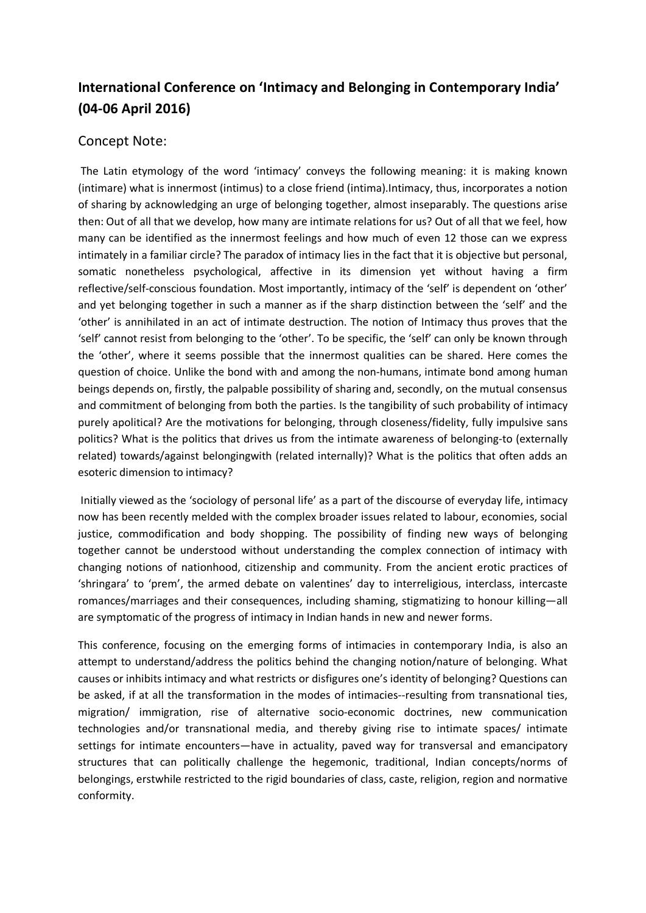## **International Conference on 'Intimacy and Belonging in Contemporary India' (04-06 April 2016)**

## Concept Note:

The Latin etymology of the word 'intimacy' conveys the following meaning: it is making known (intimare) what is innermost (intimus) to a close friend (intima).Intimacy, thus, incorporates a notion of sharing by acknowledging an urge of belonging together, almost inseparably. The questions arise then: Out of all that we develop, how many are intimate relations for us? Out of all that we feel, how many can be identified as the innermost feelings and how much of even 12 those can we express intimately in a familiar circle? The paradox of intimacy lies in the fact that it is objective but personal, somatic nonetheless psychological, affective in its dimension yet without having a firm reflective/self-conscious foundation. Most importantly, intimacy of the 'self' is dependent on 'other' and yet belonging together in such a manner as if the sharp distinction between the 'self' and the 'other' is annihilated in an act of intimate destruction. The notion of Intimacy thus proves that the 'self' cannot resist from belonging to the 'other'. To be specific, the 'self' can only be known through the 'other', where it seems possible that the innermost qualities can be shared. Here comes the question of choice. Unlike the bond with and among the non-humans, intimate bond among human beings depends on, firstly, the palpable possibility of sharing and, secondly, on the mutual consensus and commitment of belonging from both the parties. Is the tangibility of such probability of intimacy purely apolitical? Are the motivations for belonging, through closeness/fidelity, fully impulsive sans politics? What is the politics that drives us from the intimate awareness of belonging-to (externally related) towards/against belongingwith (related internally)? What is the politics that often adds an esoteric dimension to intimacy?

Initially viewed as the 'sociology of personal life' as a part of the discourse of everyday life, intimacy now has been recently melded with the complex broader issues related to labour, economies, social justice, commodification and body shopping. The possibility of finding new ways of belonging together cannot be understood without understanding the complex connection of intimacy with changing notions of nationhood, citizenship and community. From the ancient erotic practices of 'shringara' to 'prem', the armed debate on valentines' day to interreligious, interclass, intercaste romances/marriages and their consequences, including shaming, stigmatizing to honour killing—all are symptomatic of the progress of intimacy in Indian hands in new and newer forms.

This conference, focusing on the emerging forms of intimacies in contemporary India, is also an attempt to understand/address the politics behind the changing notion/nature of belonging. What causes or inhibits intimacy and what restricts or disfigures one's identity of belonging? Questions can be asked, if at all the transformation in the modes of intimacies--resulting from transnational ties, migration/ immigration, rise of alternative socio-economic doctrines, new communication technologies and/or transnational media, and thereby giving rise to intimate spaces/ intimate settings for intimate encounters—have in actuality, paved way for transversal and emancipatory structures that can politically challenge the hegemonic, traditional, Indian concepts/norms of belongings, erstwhile restricted to the rigid boundaries of class, caste, religion, region and normative conformity.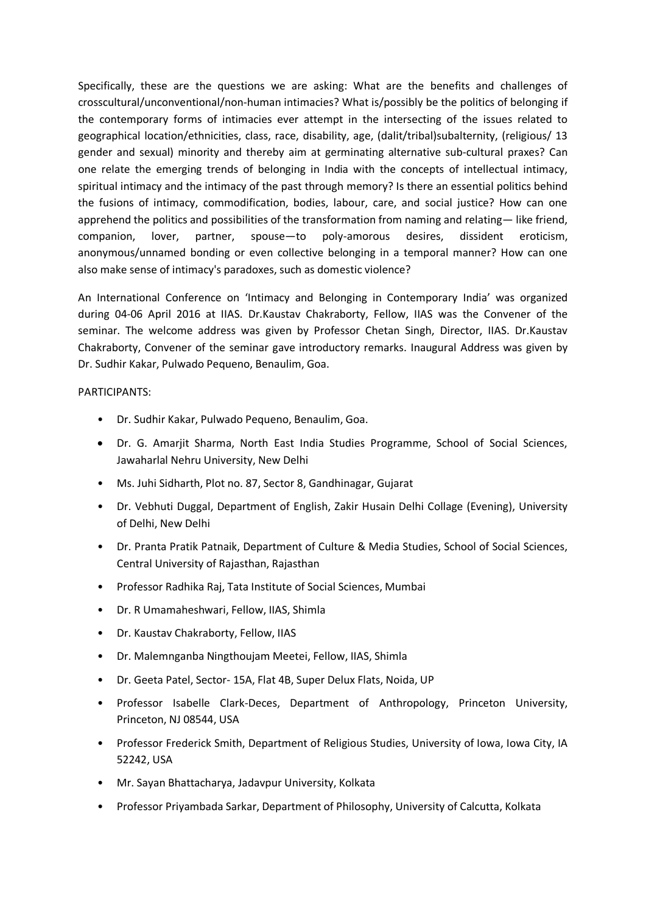Specifically, these are the questions we are asking: What are the benefits and challenges of crosscultural/unconventional/non-human intimacies? What is/possibly be the politics of belonging if the contemporary forms of intimacies ever attempt in the intersecting of the issues related to geographical location/ethnicities, class, race, disability, age, (dalit/tribal)subalternity, (religious/ 13 gender and sexual) minority and thereby aim at germinating alternative sub-cultural praxes? Can one relate the emerging trends of belonging in India with the concepts of intellectual intimacy, spiritual intimacy and the intimacy of the past through memory? Is there an essential politics behind the fusions of intimacy, commodification, bodies, labour, care, and social justice? How can one apprehend the politics and possibilities of the transformation from naming and relating— like friend, companion, lover, partner, spouse—to poly-amorous desires, dissident eroticism, anonymous/unnamed bonding or even collective belonging in a temporal manner? How can one also make sense of intimacy's paradoxes, such as domestic violence?

An International Conference on 'Intimacy and Belonging in Contemporary India' was organized during 04-06 April 2016 at IIAS. Dr.Kaustav Chakraborty, Fellow, IIAS was the Convener of the seminar. The welcome address was given by Professor Chetan Singh, Director, IIAS. Dr.Kaustav Chakraborty, Convener of the seminar gave introductory remarks. Inaugural Address was given by Dr. Sudhir Kakar, Pulwado Pequeno, Benaulim, Goa.

PARTICIPANTS:

- Dr. Sudhir Kakar, Pulwado Pequeno, Benaulim, Goa.
- Dr. G. Amarjit Sharma, North East India Studies Programme, School of Social Sciences, Jawaharlal Nehru University, New Delhi
- Ms. Juhi Sidharth, Plot no. 87, Sector 8, Gandhinagar, Gujarat
- Dr. Vebhuti Duggal, Department of English, Zakir Husain Delhi Collage (Evening), University of Delhi, New Delhi
- Dr. Pranta Pratik Patnaik, Department of Culture & Media Studies, School of Social Sciences, Central University of Rajasthan, Rajasthan
- Professor Radhika Raj, Tata Institute of Social Sciences, Mumbai
- Dr. R Umamaheshwari, Fellow, IIAS, Shimla
- Dr. Kaustav Chakraborty, Fellow, IIAS
- Dr. Malemnganba Ningthoujam Meetei, Fellow, IIAS, Shimla
- Dr. Geeta Patel, Sector- 15A, Flat 4B, Super Delux Flats, Noida, UP
- Professor Isabelle Clark-Deces, Department of Anthropology, Princeton University, Princeton, NJ 08544, USA
- Professor Frederick Smith, Department of Religious Studies, University of Iowa, Iowa City, IA 52242, USA
- Mr. Sayan Bhattacharya, Jadavpur University, Kolkata
- Professor Priyambada Sarkar, Department of Philosophy, University of Calcutta, Kolkata